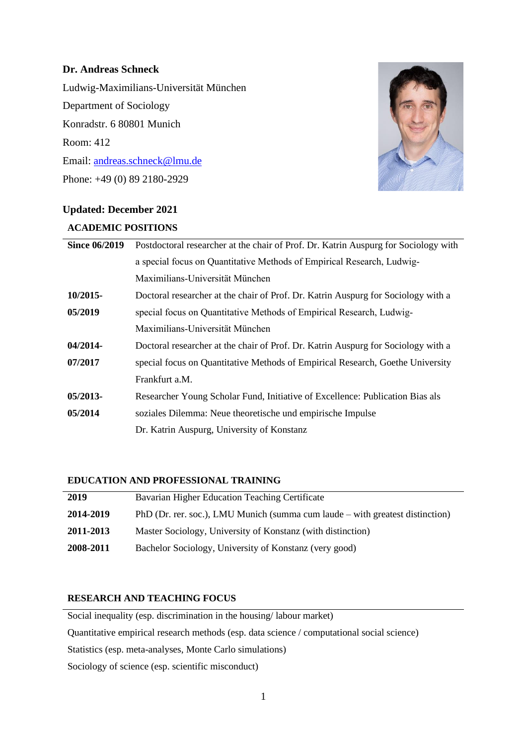# **Dr. Andreas Schneck**

Ludwig-Maximilians-Universität München Department of Sociology Konradstr. 6 80801 Munich Room: 412 Email: [andreas.schneck@lmu.de](mailto:andreas.schneck@lmu.de) Phone: +49 (0) 89 2180-2929



# **Updated: December 2021**

## **ACADEMIC POSITIONS**

| <b>Since 06/2019</b> | Postdoctoral researcher at the chair of Prof. Dr. Katrin Auspurg for Sociology with |
|----------------------|-------------------------------------------------------------------------------------|
|                      | a special focus on Quantitative Methods of Empirical Research, Ludwig-              |
|                      | Maximilians-Universität München                                                     |
| 10/2015-             | Doctoral researcher at the chair of Prof. Dr. Katrin Auspurg for Sociology with a   |
| 05/2019              | special focus on Quantitative Methods of Empirical Research, Ludwig-                |
|                      | Maximilians-Universität München                                                     |
| 04/2014-             | Doctoral researcher at the chair of Prof. Dr. Katrin Auspurg for Sociology with a   |
| 07/2017              | special focus on Quantitative Methods of Empirical Research, Goethe University      |
|                      | Frankfurt a.M.                                                                      |
| 05/2013-             | Researcher Young Scholar Fund, Initiative of Excellence: Publication Bias als       |
| 05/2014              | soziales Dilemma: Neue theoretische und empirische Impulse                          |
|                      | Dr. Katrin Auspurg, University of Konstanz                                          |
|                      |                                                                                     |

# **EDUCATION AND PROFESSIONAL TRAINING**

| 2019      | Bavarian Higher Education Teaching Certificate                                  |
|-----------|---------------------------------------------------------------------------------|
| 2014-2019 | PhD (Dr. rer. soc.), LMU Munich (summa cum laude $-$ with greatest distinction) |
| 2011-2013 | Master Sociology, University of Konstanz (with distinction)                     |
| 2008-2011 | Bachelor Sociology, University of Konstanz (very good)                          |

# **RESEARCH AND TEACHING FOCUS**

Social inequality (esp. discrimination in the housing/ labour market) Quantitative empirical research methods (esp. data science / computational social science) Statistics (esp. meta-analyses, Monte Carlo simulations) Sociology of science (esp. scientific misconduct)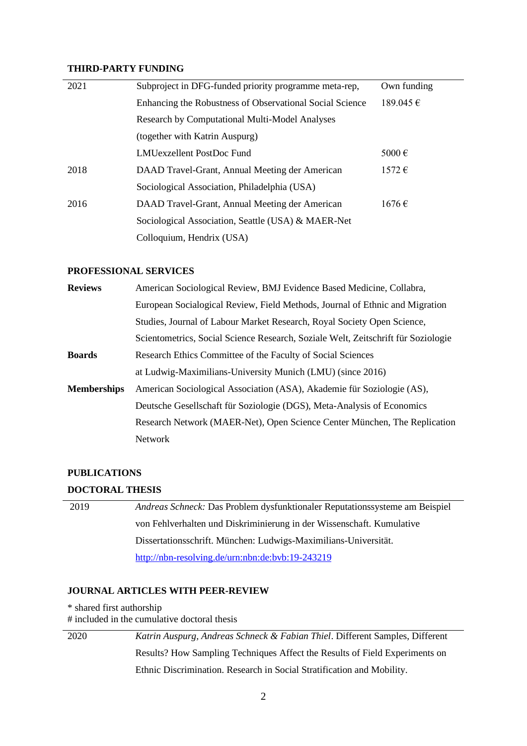## **THIRD-PARTY FUNDING**

| 2021 | Subproject in DFG-funded priority programme meta-rep,    | Own funding     |
|------|----------------------------------------------------------|-----------------|
|      | Enhancing the Robustness of Observational Social Science | 189.045 €       |
|      | <b>Research by Computational Multi-Model Analyses</b>    |                 |
|      | (together with Katrin Auspurg)                           |                 |
|      | LMUexzellent PostDoc Fund                                | 5000 $\epsilon$ |
| 2018 | DAAD Travel-Grant, Annual Meeting der American           | $1572 \in$      |
|      | Sociological Association, Philadelphia (USA)             |                 |
| 2016 | DAAD Travel-Grant, Annual Meeting der American           | $1676 \in$      |
|      | Sociological Association, Seattle (USA) & MAER-Net       |                 |
|      | Colloquium, Hendrix (USA)                                |                 |

#### **PROFESSIONAL SERVICES**

| <b>Reviews</b>     | American Sociological Review, BMJ Evidence Based Medicine, Collabra,              |
|--------------------|-----------------------------------------------------------------------------------|
|                    | European Socialogical Review, Field Methods, Journal of Ethnic and Migration      |
|                    | Studies, Journal of Labour Market Research, Royal Society Open Science,           |
|                    | Scientometrics, Social Science Research, Soziale Welt, Zeitschrift für Soziologie |
| <b>Boards</b>      | Research Ethics Committee of the Faculty of Social Sciences                       |
|                    | at Ludwig-Maximilians-University Munich (LMU) (since 2016)                        |
| <b>Memberships</b> | American Sociological Association (ASA), Akademie für Soziologie (AS),            |
|                    | Deutsche Gesellschaft für Soziologie (DGS), Meta-Analysis of Economics            |
|                    | Research Network (MAER-Net), Open Science Center München, The Replication         |
|                    | <b>Network</b>                                                                    |

## **PUBLICATIONS**

### **DOCTORAL THESIS**

| 2019 | Andreas Schneck: Das Problem dysfunktionaler Reputationssysteme am Beispiel |
|------|-----------------------------------------------------------------------------|
|      | von Fehlverhalten und Diskriminierung in der Wissenschaft. Kumulative       |
|      | Dissertationsschrift. München: Ludwigs-Maximilians-Universität.             |
|      | http://nbn-resolving.de/urn:nbn:de:bvb:19-243219                            |

### **JOURNAL ARTICLES WITH PEER-REVIEW**

\* shared first authorship

# included in the cumulative doctoral thesis

2020 *Katrin Auspurg, Andreas Schneck & Fabian Thiel*. Different Samples, Different Results? How Sampling Techniques Affect the Results of Field Experiments on Ethnic Discrimination. Research in Social Stratification and Mobility.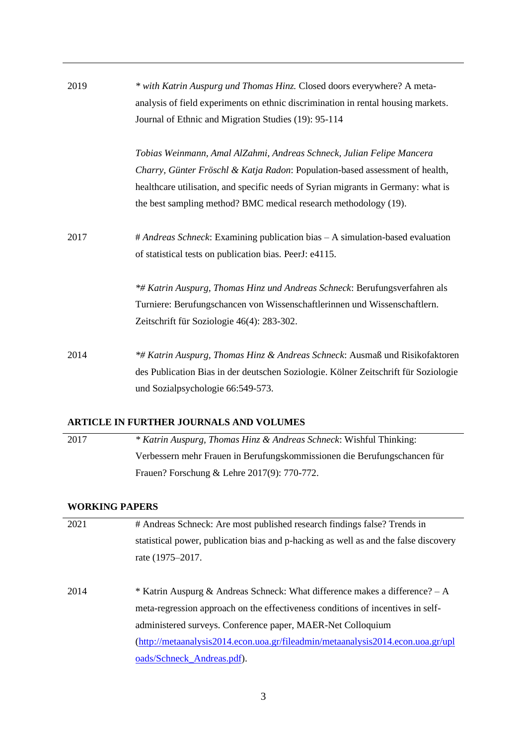| 2019 | * with Katrin Auspurg und Thomas Hinz. Closed doors everywhere? A meta-<br>analysis of field experiments on ethnic discrimination in rental housing markets.<br>Journal of Ethnic and Migration Studies (19): 95-114                                                                                           |
|------|----------------------------------------------------------------------------------------------------------------------------------------------------------------------------------------------------------------------------------------------------------------------------------------------------------------|
|      | Tobias Weinmann, Amal AlZahmi, Andreas Schneck, Julian Felipe Mancera<br>Charry, Günter Fröschl & Katja Radon: Population-based assessment of health,<br>healthcare utilisation, and specific needs of Syrian migrants in Germany: what is<br>the best sampling method? BMC medical research methodology (19). |
| 2017 | # Andreas Schneck: Examining publication bias – A simulation-based evaluation<br>of statistical tests on publication bias. PeerJ: e4115.                                                                                                                                                                       |
|      | *# Katrin Auspurg, Thomas Hinz und Andreas Schneck: Berufungsverfahren als<br>Turniere: Berufungschancen von Wissenschaftlerinnen und Wissenschaftlern.<br>Zeitschrift für Soziologie 46(4): 283-302.                                                                                                          |
| 2014 | <b>*# Katrin Auspurg, Thomas Hinz &amp; Andreas Schneck: Ausmaß und Risikofaktoren</b><br>des Publication Bias in der deutschen Soziologie. Kölner Zeitschrift für Soziologie<br>und Sozialpsychologie 66:549-573.                                                                                             |

# **ARTICLE IN FURTHER JOURNALS AND VOLUMES**

2017 *\* Katrin Auspurg, Thomas Hinz & Andreas Schneck*: Wishful Thinking: Verbessern mehr Frauen in Berufungskommissionen die Berufungschancen für Frauen? Forschung & Lehre 2017(9): 770-772.

# **WORKING PAPERS**

| 2021 | # Andreas Schneck: Are most published research findings false? Trends in                  |
|------|-------------------------------------------------------------------------------------------|
|      | statistical power, publication bias and p-hacking as well as and the false discovery      |
|      | rate (1975–2017.                                                                          |
|      |                                                                                           |
| 2014 | * Katrin Auspurg & Andreas Schneck: What difference makes a difference? $-A$              |
|      | meta-regression approach on the effectiveness conditions of incentives in self-           |
|      | administered surveys. Conference paper, MAER-Net Colloquium                               |
|      | $(\text{http://metaanalysis2014.econ.uoa.gr/fileadmin/metaanalysis2014.econ.uoa.gr/upl})$ |
|      | oads/Schneck_Andreas.pdf).                                                                |
|      |                                                                                           |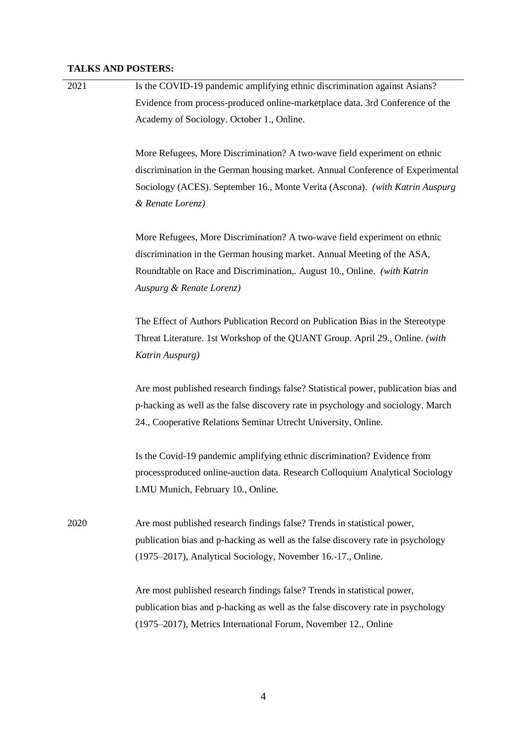#### **TALKS AND POSTERS:**

| 2021 | Is the COVID-19 pandemic amplifying ethnic discrimination against Asians?     |
|------|-------------------------------------------------------------------------------|
|      | Evidence from process-produced online-marketplace data. 3rd Conference of the |
|      | Academy of Sociology. October 1., Online.                                     |

More Refugees, More Discrimination? A two-wave field experiment on ethnic discrimination in the German housing market. Annual Conference of Experimental Sociology (ACES). September 16., Monte Verita (Ascona). *(with Katrin Auspurg & Renate Lorenz)*

More Refugees, More Discrimination? A two-wave field experiment on ethnic discrimination in the German housing market. Annual Meeting of the ASA, Roundtable on Race and Discrimination,. August 10., Online. *(with Katrin Auspurg & Renate Lorenz)*

The Effect of Authors Publication Record on Publication Bias in the Stereotype Threat Literature. 1st Workshop of the QUANT Group. April 29., Online. *(with Katrin Auspurg)*

Are most published research findings false? Statistical power, publication bias and p-hacking as well as the false discovery rate in psychology and sociology. March 24., Cooperative Relations Seminar Utrecht University, Online.

Is the Covid-19 pandemic amplifying ethnic discrimination? Evidence from processproduced online-auction data. Research Colloquium Analytical Sociology LMU Munich, February 10., Online.

2020 Are most published research findings false? Trends in statistical power, publication bias and p-hacking as well as the false discovery rate in psychology (1975–2017), Analytical Sociology, November 16.-17., Online.

> Are most published research findings false? Trends in statistical power, publication bias and p-hacking as well as the false discovery rate in psychology (1975–2017), Metrics International Forum, November 12., Online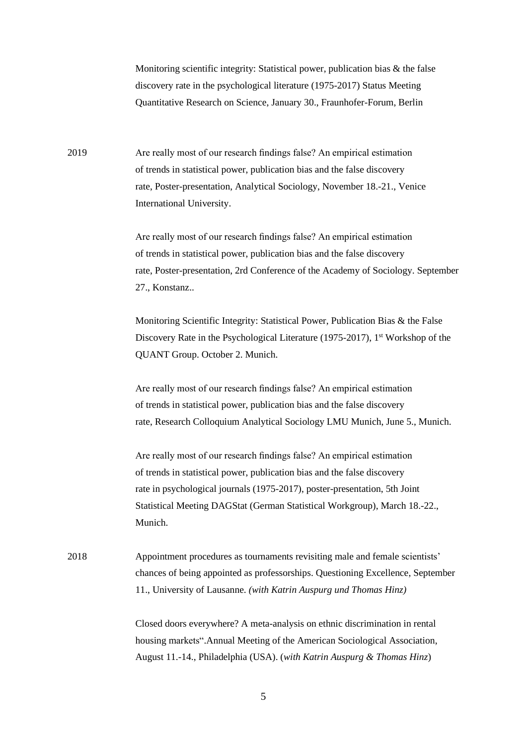Monitoring scientific integrity: Statistical power, publication bias & the false discovery rate in the psychological literature (1975-2017) Status Meeting Quantitative Research on Science, January 30., Fraunhofer-Forum, Berlin

2019 Are really most of our research findings false? An empirical estimation of trends in statistical power, publication bias and the false discovery rate, Poster-presentation, Analytical Sociology, November 18.-21., Venice International University.

> Are really most of our research findings false? An empirical estimation of trends in statistical power, publication bias and the false discovery rate, Poster-presentation, 2rd Conference of the Academy of Sociology. September 27., Konstanz..

Monitoring Scientific Integrity: Statistical Power, Publication Bias & the False Discovery Rate in the Psychological Literature (1975-2017),  $1<sup>st</sup>$  Workshop of the QUANT Group. October 2. Munich.

Are really most of our research findings false? An empirical estimation of trends in statistical power, publication bias and the false discovery rate, Research Colloquium Analytical Sociology LMU Munich, June 5., Munich.

Are really most of our research findings false? An empirical estimation of trends in statistical power, publication bias and the false discovery rate in psychological journals (1975-2017), poster-presentation, 5th Joint Statistical Meeting DAGStat (German Statistical Workgroup), March 18.-22., Munich.

2018 Appointment procedures as tournaments revisiting male and female scientists' chances of being appointed as professorships. Questioning Excellence, September 11., University of Lausanne. *(with Katrin Auspurg und Thomas Hinz)*

> Closed doors everywhere? A meta-analysis on ethnic discrimination in rental housing markets".Annual Meeting of the American Sociological Association, August 11.-14., Philadelphia (USA). (*with Katrin Auspurg & Thomas Hinz*)

> > 5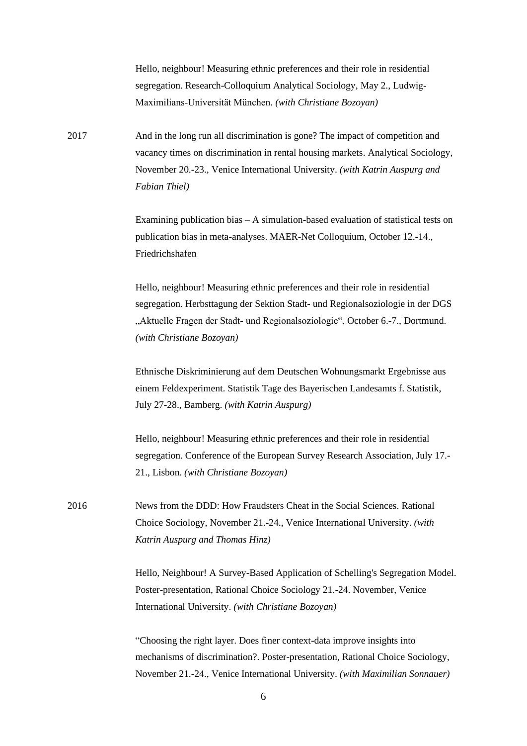Hello, neighbour! Measuring ethnic preferences and their role in residential segregation. Research-Colloquium Analytical Sociology, May 2., Ludwig-Maximilians‐Universität München. *(with Christiane Bozoyan)*

2017 And in the long run all discrimination is gone? The impact of competition and vacancy times on discrimination in rental housing markets. Analytical Sociology, November 20.-23., Venice International University. *(with Katrin Auspurg and Fabian Thiel)*

> Examining publication bias – A simulation-based evaluation of statistical tests on publication bias in meta-analyses. MAER-Net Colloquium, October 12.-14., Friedrichshafen

> Hello, neighbour! Measuring ethnic preferences and their role in residential segregation. Herbsttagung der Sektion Stadt- und Regionalsoziologie in der DGS "Aktuelle Fragen der Stadt- und Regionalsoziologie", October 6.-7., Dortmund. *(with Christiane Bozoyan)*

Ethnische Diskriminierung auf dem Deutschen Wohnungsmarkt Ergebnisse aus einem Feldexperiment. Statistik Tage des Bayerischen Landesamts f. Statistik, July 27-28., Bamberg. *(with Katrin Auspurg)*

Hello, neighbour! Measuring ethnic preferences and their role in residential segregation. Conference of the European Survey Research Association, July 17.- 21., Lisbon. *(with Christiane Bozoyan)*

2016 News from the DDD: How Fraudsters Cheat in the Social Sciences. Rational Choice Sociology, November 21.-24., Venice International University. *(with Katrin Auspurg and Thomas Hinz)*

> Hello, Neighbour! A Survey-Based Application of Schelling's Segregation Model. Poster-presentation, Rational Choice Sociology 21.-24. November, Venice International University. *(with Christiane Bozoyan)*

"Choosing the right layer. Does finer context-data improve insights into mechanisms of discrimination?. Poster-presentation, Rational Choice Sociology, November 21.-24., Venice International University. *(with Maximilian Sonnauer)*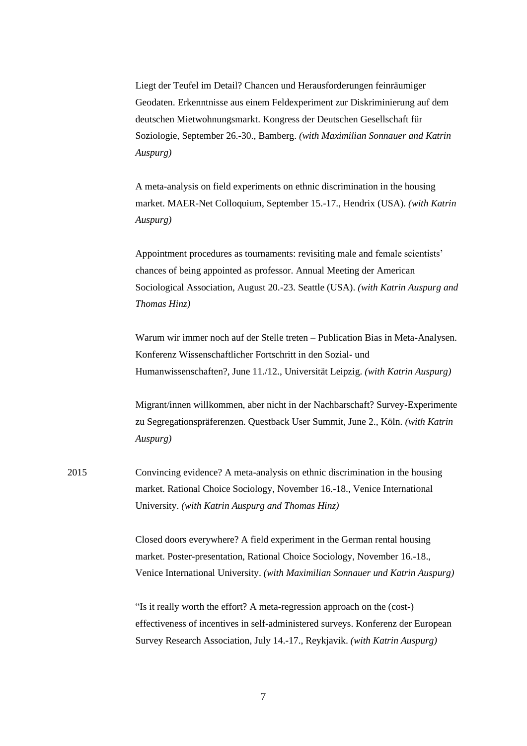Liegt der Teufel im Detail? Chancen und Herausforderungen feinräumiger Geodaten. Erkenntnisse aus einem Feldexperiment zur Diskriminierung auf dem deutschen Mietwohnungsmarkt. Kongress der Deutschen Gesellschaft für Soziologie, September 26.-30., Bamberg. *(with Maximilian Sonnauer and Katrin Auspurg)*

A meta-analysis on field experiments on ethnic discrimination in the housing market. MAER-Net Colloquium, September 15.-17., Hendrix (USA). *(with Katrin Auspurg)*

Appointment procedures as tournaments: revisiting male and female scientists' chances of being appointed as professor. Annual Meeting der American Sociological Association, August 20.-23. Seattle (USA). *(with Katrin Auspurg and Thomas Hinz)*

Warum wir immer noch auf der Stelle treten – Publication Bias in Meta-Analysen. Konferenz Wissenschaftlicher Fortschritt in den Sozial- und Humanwissenschaften?, June 11./12., Universität Leipzig. *(with Katrin Auspurg)*

Migrant/innen willkommen, aber nicht in der Nachbarschaft? Survey-Experimente zu Segregationspräferenzen. Questback User Summit, June 2., Köln. *(with Katrin Auspurg)*

2015 Convincing evidence? A meta-analysis on ethnic discrimination in the housing market. Rational Choice Sociology, November 16.-18., Venice International University. *(with Katrin Auspurg and Thomas Hinz)*

> Closed doors everywhere? A field experiment in the German rental housing market. Poster-presentation, Rational Choice Sociology, November 16.-18., Venice International University. *(with Maximilian Sonnauer und Katrin Auspurg)*

> "Is it really worth the effort? A meta-regression approach on the (cost-) effectiveness of incentives in self-administered surveys. Konferenz der [European](http://www.europeansurveyresearch.org/)  [Survey Research Association,](http://www.europeansurveyresearch.org/) July 14.-17., Reykjavik. *(with Katrin Auspurg)*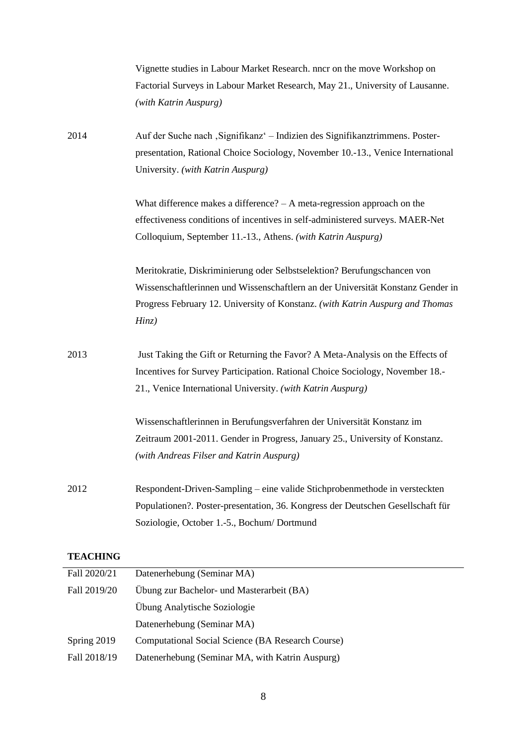|                 | Vignette studies in Labour Market Research. nncr on the move Workshop on        |
|-----------------|---------------------------------------------------------------------------------|
|                 | Factorial Surveys in Labour Market Research, May 21., University of Lausanne.   |
|                 | (with Katrin Auspurg)                                                           |
| 2014            | Auf der Suche nach "Signifikanz" – Indizien des Signifikanztrimmens. Poster-    |
|                 | presentation, Rational Choice Sociology, November 10.-13., Venice International |
|                 | University. (with Katrin Auspurg)                                               |
|                 | What difference makes a difference? $- A$ meta-regression approach on the       |
|                 | effectiveness conditions of incentives in self-administered surveys. MAER-Net   |
|                 | Colloquium, September 11.-13., Athens. (with Katrin Auspurg)                    |
|                 | Meritokratie, Diskriminierung oder Selbstselektion? Berufungschancen von        |
|                 | Wissenschaftlerinnen und Wissenschaftlern an der Universität Konstanz Gender in |
|                 | Progress February 12. University of Konstanz. (with Katrin Auspurg and Thomas   |
|                 | Hinz)                                                                           |
| 2013            | Just Taking the Gift or Returning the Favor? A Meta-Analysis on the Effects of  |
|                 | Incentives for Survey Participation. Rational Choice Sociology, November 18.-   |
|                 | 21., Venice International University. (with Katrin Auspurg)                     |
|                 | Wissenschaftlerinnen in Berufungsverfahren der Universität Konstanz im          |
|                 | Zeitraum 2001-2011. Gender in Progress, January 25., University of Konstanz.    |
|                 | (with Andreas Filser and Katrin Auspurg)                                        |
| 2012            | Respondent-Driven-Sampling – eine valide Stichprobenmethode in versteckten      |
|                 | Populationen?. Poster-presentation, 36. Kongress der Deutschen Gesellschaft für |
|                 | Soziologie, October 1.-5., Bochum/Dortmund                                      |
| <b>TEACHING</b> |                                                                                 |

| Fall 2020/21 | Datenerhebung (Seminar MA)                        |
|--------------|---------------------------------------------------|
| Fall 2019/20 | Ubung zur Bachelor- und Masterarbeit (BA)         |
|              | Ubung Analytische Soziologie                      |
|              | Datenerhebung (Seminar MA)                        |
| Spring 2019  | Computational Social Science (BA Research Course) |
| Fall 2018/19 | Datenerhebung (Seminar MA, with Katrin Auspurg)   |